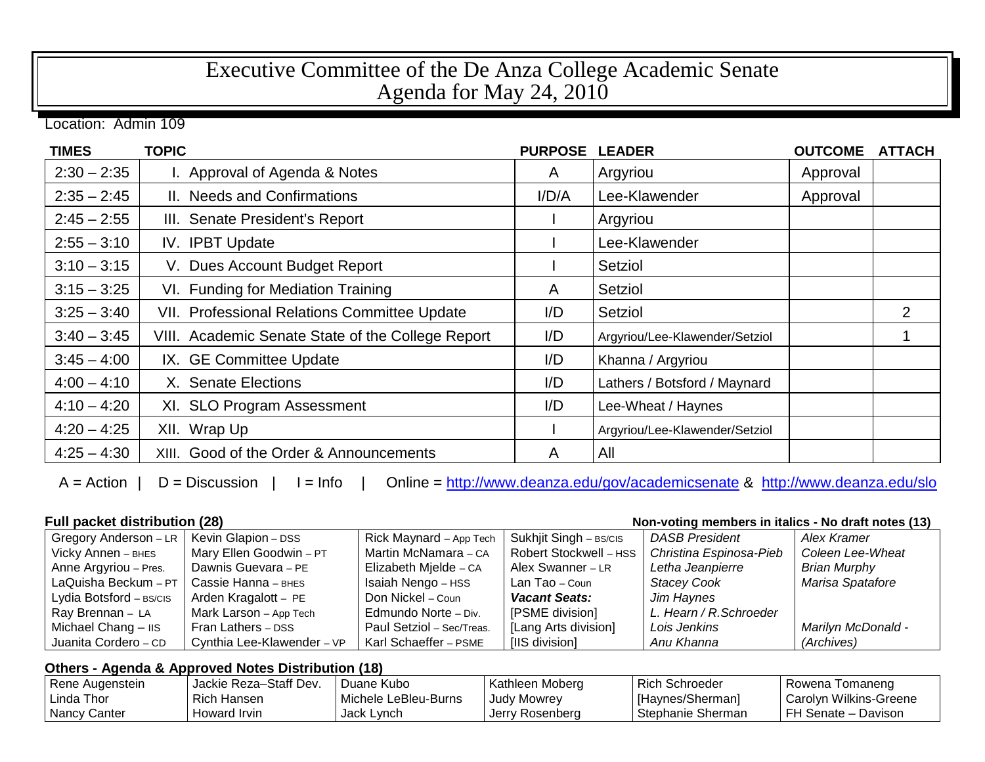## Executive Committee of the De Anza College Academic Senate Agenda for May 24, 2010

Location: Admin 109

| <b>TIMES</b>  | <b>TOPIC</b>                                      | <b>PURPOSE</b> | <b>LEADER</b>                  | <b>OUTCOME</b> | <b>ATTACH</b>  |
|---------------|---------------------------------------------------|----------------|--------------------------------|----------------|----------------|
| $2:30 - 2:35$ | I. Approval of Agenda & Notes                     | A              | Argyriou                       | Approval       |                |
| $2:35 - 2:45$ | II. Needs and Confirmations                       | I/D/A          | Lee-Klawender                  | Approval       |                |
| $2:45 - 2:55$ | III. Senate President's Report                    |                | Argyriou                       |                |                |
| $2:55 - 3:10$ | IV. IPBT Update                                   |                | Lee-Klawender                  |                |                |
| $3:10 - 3:15$ | V. Dues Account Budget Report                     |                | Setziol                        |                |                |
| $3:15 - 3:25$ | VI. Funding for Mediation Training                | A              | Setziol                        |                |                |
| $3:25 - 3:40$ | VII. Professional Relations Committee Update      | I/D            | Setziol                        |                | $\overline{2}$ |
| $3:40 - 3:45$ | VIII. Academic Senate State of the College Report | I/D            | Argyriou/Lee-Klawender/Setziol |                |                |
| $3:45 - 4:00$ | IX. GE Committee Update                           | I/D            | Khanna / Argyriou              |                |                |
| $4:00 - 4:10$ | X. Senate Elections                               | I/D            | Lathers / Botsford / Maynard   |                |                |
| $4:10 - 4:20$ | XI. SLO Program Assessment                        | I/D            | Lee-Wheat / Haynes             |                |                |
| $4:20 - 4:25$ | XII. Wrap Up                                      |                | Argyriou/Lee-Klawender/Setziol |                |                |
| $4:25 - 4:30$ | XIII. Good of the Order & Announcements           | A              | All                            |                |                |

A = Action | D = Discussion | I = Info | Online =<http://www.deanza.edu/gov/academicsenate> & <http://www.deanza.edu/slo>

**Full packet distribution (28) Non-voting members in italics - No draft notes (13)**

| Gregory Anderson - LR   | Kevin Glapion - DSS        | Rick Maynard - App Tech   | Sukhjit Singh - BS/CIS | <b>DASB President</b>   | Alex Kramer         |
|-------------------------|----------------------------|---------------------------|------------------------|-------------------------|---------------------|
| Vicky Annen - BHES      | Mary Ellen Goodwin - PT    | Martin McNamara - CA      | Robert Stockwell - HSS | Christina Espinosa-Pieb | Coleen Lee-Wheat    |
| Anne Argyriou - Pres.   | Dawnis Guevara - PE        | Elizabeth Mjelde - CA     | Alex Swanner - LR      | Letha Jeanpierre        | <b>Brian Murphy</b> |
| LaQuisha Beckum - $PT$  | Cassie Hanna - внєѕ        | Isaiah Nengo - HSS        | Lan Tao – Coun         | <b>Stacey Cook</b>      | Marisa Spatafore    |
| Lydia Botsford - BS/CIS | Arden Kragalott - PE       | Don Nickel – Coun         | <b>Vacant Seats:</b>   | Jim Haynes              |                     |
| Ray Brennan - LA        | Mark Larson - App Tech     | Edmundo Norte - Div.      | [PSME division]        | L. Hearn / R. Schroeder |                     |
| Michael Chang - IIS     | Fran Lathers - DSS         | Paul Setziol - Sec/Treas. | [Lang Arts division]   | Lois Jenkins            | Marilyn McDonald -  |
| Juanita Cordero - CD    | Cynthia Lee-Klawender - VP | Karl Schaeffer - PSME     | [IIS division]         | Anu Khanna              | (Archives)          |

## **Others - Agenda & Approved Notes Distribution (18)**

| Rene Augenstein | Jackie Reza-Staff Dev. | Duane Kubo           | Kathleen Moberg    | <b>Rich Schroeder</b> | I Rowena Tomaneng      |
|-----------------|------------------------|----------------------|--------------------|-----------------------|------------------------|
| Linda Thor      | Rich Hansen            | Michele LeBleu-Burns | <b>Judy Mowrey</b> | [Haynes/Sherman]      | Carolyn Wilkins-Greene |
| Nancy Canter    | Howard Irvin           | Jack Lynch           | I Jerry Rosenberg  | Stephanie Sherman     | FH Senate - Davison    |